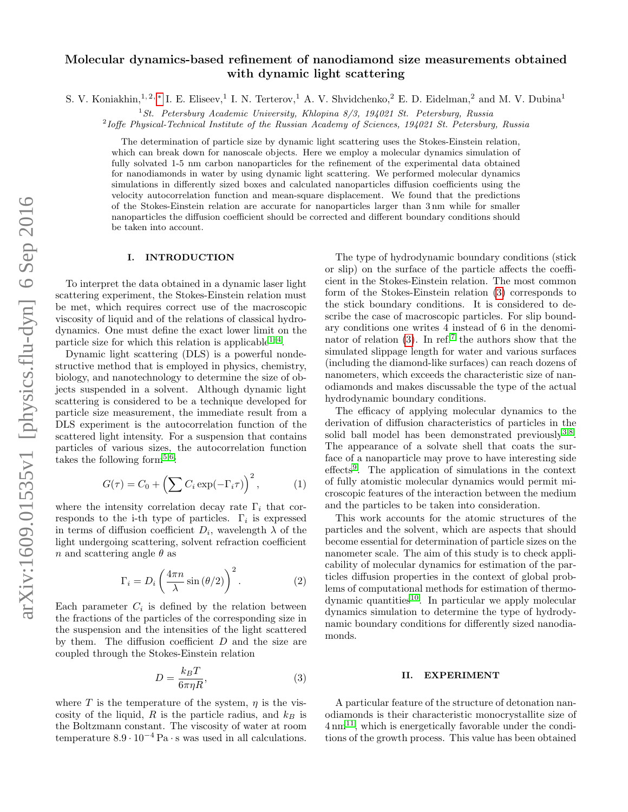# Molecular dynamics-based refinement of nanodiamond size measurements obtained with dynamic light scattering

S. V. Koniakhin,<sup>1,2,\*</sup> I. E. Eliseev,<sup>1</sup> I. N. Terterov,<sup>1</sup> A. V. Shvidchenko,<sup>2</sup> E. D. Eidelman,<sup>2</sup> and M. V. Dubina<sup>1</sup>

<sup>1</sup> St. Petersburg Academic University, Khlopina 8/3, 194021 St. Petersburg, Russia

<sup>2</sup>Ioffe Physical-Technical Institute of the Russian Academy of Sciences, 194021 St. Petersburg, Russia

The determination of particle size by dynamic light scattering uses the Stokes-Einstein relation, which can break down for nanoscale objects. Here we employ a molecular dynamics simulation of fully solvated 1-5 nm carbon nanoparticles for the refinement of the experimental data obtained for nanodiamonds in water by using dynamic light scattering. We performed molecular dynamics simulations in differently sized boxes and calculated nanoparticles diffusion coefficients using the velocity autocorrelation function and mean-square displacement. We found that the predictions of the Stokes-Einstein relation are accurate for nanoparticles larger than 3 nm while for smaller nanoparticles the diffusion coefficient should be corrected and different boundary conditions should be taken into account.

#### I. INTRODUCTION

To interpret the data obtained in a dynamic laser light scattering experiment, the Stokes-Einstein relation must be met, which requires correct use of the macroscopic viscosity of liquid and of the relations of classical hydrodynamics. One must define the exact lower limit on the particle size for which this relation is applicable  $1-4$  $1-4$ .

Dynamic light scattering (DLS) is a powerful nondestructive method that is employed in physics, chemistry, biology, and nanotechnology to determine the size of objects suspended in a solvent. Although dynamic light scattering is considered to be a technique developed for particle size measurement, the immediate result from a DLS experiment is the autocorrelation function of the scattered light intensity. For a suspension that contains particles of various sizes, the autocorrelation function takes the following form<sup>[5](#page-4-0)[,6](#page-4-1)</sup>:

$$
G(\tau) = C_0 + \left(\sum C_i \exp(-\Gamma_i \tau)\right)^2, \tag{1}
$$

where the intensity correlation decay rate  $\Gamma_i$  that corresponds to the i-th type of particles.  $\Gamma_i$  is expressed in terms of diffusion coefficient  $D_i$ , wavelength  $\lambda$  of the light undergoing scattering, solvent refraction coefficient n and scattering angle  $\theta$  as

<span id="page-0-1"></span>
$$
\Gamma_i = D_i \left( \frac{4\pi n}{\lambda} \sin \left( \frac{\theta}{2} \right) \right)^2.
$$
 (2)

Each parameter  $C_i$  is defined by the relation between the fractions of the particles of the corresponding size in the suspension and the intensities of the light scattered by them. The diffusion coefficient  $D$  and the size are coupled through the Stokes-Einstein relation

<span id="page-0-0"></span>
$$
D = \frac{k_B T}{6\pi\eta R},\tag{3}
$$

where T is the temperature of the system,  $\eta$  is the viscosity of the liquid,  $R$  is the particle radius, and  $k_B$  is the Boltzmann constant. The viscosity of water at room temperature  $8.9 \cdot 10^{-4}$  Pa $\cdot$ s was used in all calculations.

The type of hydrodynamic boundary conditions (stick or slip) on the surface of the particle affects the coefficient in the Stokes-Einstein relation. The most common form of the Stokes-Einstein relation [\(3\)](#page-0-0) corresponds to the stick boundary conditions. It is considered to describe the case of macroscopic particles. For slip boundary conditions one writes 4 instead of 6 in the denominator of relation  $(3)$ . In ref.<sup>[7](#page-4-2)</sup> the authors show that the simulated slippage length for water and various surfaces (including the diamond-like surfaces) can reach dozens of nanometers, which exceeds the characteristic size of nanodiamonds and makes discussable the type of the actual hydrodynamic boundary conditions.

The efficacy of applying molecular dynamics to the derivation of diffusion characteristics of particles in the solid ball model has been demonstrated previously<sup>[3,](#page-3-3)[8](#page-4-3)</sup>. The appearance of a solvate shell that coats the surface of a nanoparticle may prove to have interesting side effects<sup>[9](#page-4-4)</sup>. The application of simulations in the context of fully atomistic molecular dynamics would permit microscopic features of the interaction between the medium and the particles to be taken into consideration.

This work accounts for the atomic structures of the particles and the solvent, which are aspects that should become essential for determination of particle sizes on the nanometer scale. The aim of this study is to check applicability of molecular dynamics for estimation of the particles diffusion properties in the context of global problems of computational methods for estimation of thermo-dynamic quantities<sup>[10](#page-4-5)</sup>. In particular we apply molecular dynamics simulation to determine the type of hydrodynamic boundary conditions for differently sized nanodiamonds.

### II. EXPERIMENT

A particular feature of the structure of detonation nanodiamonds is their characteristic monocrystallite size of  $4 \text{ nm}^{11}$  $4 \text{ nm}^{11}$  $4 \text{ nm}^{11}$ , which is energetically favorable under the conditions of the growth process. This value has been obtained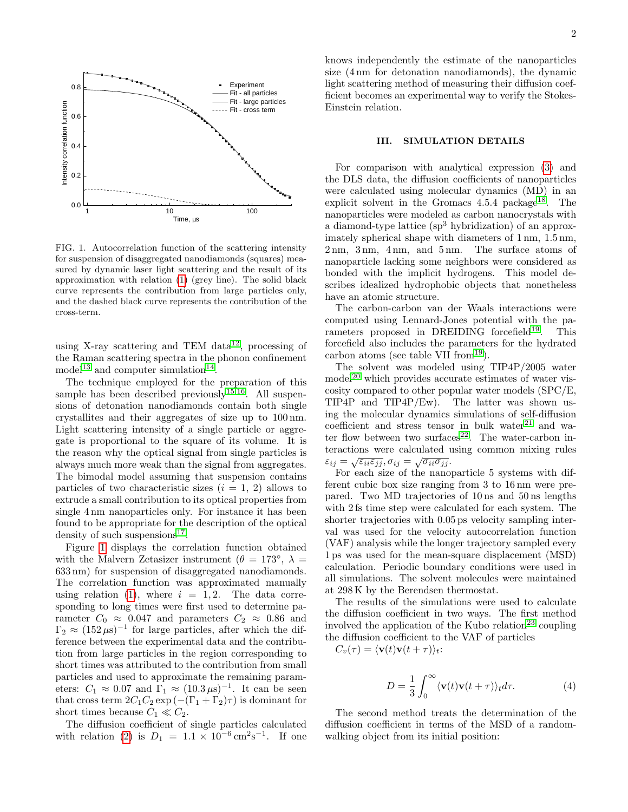

<span id="page-1-0"></span>FIG. 1. Autocorrelation function of the scattering intensity for suspension of disaggregated nanodiamonds (squares) measured by dynamic laser light scattering and the result of its approximation with relation [\(1\)](#page-1-0) (grey line). The solid black curve represents the contribution from large particles only, and the dashed black curve represents the contribution of the cross-term.

using X-ray scattering and TEM data<sup>[12](#page-4-7)</sup>, processing of the Raman scattering spectra in the phonon confinement model<sup>[13](#page-4-8)</sup> and computer simulation<sup>[14](#page-4-9)</sup>.

The technique employed for the preparation of this sample has been described previously<sup>[15,](#page-4-10)[16](#page-4-11)</sup>. All suspensions of detonation nanodiamonds contain both single crystallites and their aggregates of size up to 100 nm. Light scattering intensity of a single particle or aggregate is proportional to the square of its volume. It is the reason why the optical signal from single particles is always much more weak than the signal from aggregates. The bimodal model assuming that suspension contains particles of two characteristic sizes  $(i = 1, 2)$  allows to extrude a small contribution to its optical properties from single 4 nm nanoparticles only. For instance it has been found to be appropriate for the description of the optical density of such suspensions<sup>[17](#page-4-12)</sup>.

Figure [1](#page-1-0) displays the correlation function obtained with the Malvern Zetasizer instrument ( $\theta = 173^\circ$ ,  $\lambda =$ 633 nm) for suspension of disaggregated nanodiamonds. The correlation function was approximated manually using relation [\(1\)](#page-1-0), where  $i = 1, 2$ . The data corresponding to long times were first used to determine parameter  $C_0 \approx 0.047$  and parameters  $C_2 \approx 0.86$  and  $\Gamma_2 \approx (152 \,\mu s)^{-1}$  for large particles, after which the difference between the experimental data and the contribution from large particles in the region corresponding to short times was attributed to the contribution from small particles and used to approximate the remaining parameters:  $C_1 \approx 0.07$  and  $\Gamma_1 \approx (10.3 \,\mu s)^{-1}$ . It can be seen that cross term  $2C_1C_2 \exp(-(\Gamma_1 + \Gamma_2)\tau)$  is dominant for short times because  $C_1 \ll C_2$ .

The diffusion coefficient of single particles calculated with relation [\(2\)](#page-0-1) is  $D_1 = 1.1 \times 10^{-6} \text{ cm}^2 \text{s}^{-1}$ . If one knows independently the estimate of the nanoparticles size (4 nm for detonation nanodiamonds), the dynamic light scattering method of measuring their diffusion coefficient becomes an experimental way to verify the Stokes-Einstein relation.

# III. SIMULATION DETAILS

For comparison with analytical expression [\(3\)](#page-0-0) and the DLS data, the diffusion coefficients of nanoparticles were calculated using molecular dynamics (MD) in an explicit solvent in the Gromacs  $4.5.4$  package<sup>[18](#page-4-13)</sup>. The nanoparticles were modeled as carbon nanocrystals with a diamond-type lattice  $(sp<sup>3</sup>$  hybridization) of an approximately spherical shape with diameters of 1 nm, 1.5 nm, 2 nm, 3 nm, 4 nm, and 5 nm. The surface atoms of nanoparticle lacking some neighbors were considered as bonded with the implicit hydrogens. This model describes idealized hydrophobic objects that nonetheless have an atomic structure.

The carbon-carbon van der Waals interactions were computed using Lennard-Jones potential with the pa-rameters proposed in DREIDING forcefield<sup>[19](#page-4-14)</sup>. This forcefield also includes the parameters for the hydrated carbon atoms (see table VII from  $19$ ).

The solvent was modeled using TIP4P/2005 water  $\text{model}^{20}$  $\text{model}^{20}$  $\text{model}^{20}$  which provides accurate estimates of water viscosity compared to other popular water models (SPC/E, TIP4P and TIP4P/Ew). The latter was shown using the molecular dynamics simulations of self-diffusion coefficient and stress tensor in bulk water $21$  and wa-ter flow between two surfaces<sup>[22](#page-4-17)</sup>. The water-carbon interactions were calculated using common mixing rules  $\varepsilon_{ij} = \sqrt{\varepsilon_{ii} \varepsilon_{jj}}, \sigma_{ij} = \sqrt{\sigma_{ii} \sigma_{jj}}.$ 

For each size of the nanoparticle 5 systems with different cubic box size ranging from 3 to 16 nm were prepared. Two MD trajectories of 10 ns and 50 ns lengths with 2 fs time step were calculated for each system. The shorter trajectories with 0.05 ps velocity sampling interval was used for the velocity autocorrelation function (VAF) analysis while the longer trajectory sampled every 1 ps was used for the mean-square displacement (MSD) calculation. Periodic boundary conditions were used in all simulations. The solvent molecules were maintained at 298 K by the Berendsen thermostat.

The results of the simulations were used to calculate the diffusion coefficient in two ways. The first method involved the application of the Kubo relation<sup>[23](#page-4-18)</sup> coupling the diffusion coefficient to the VAF of particles

 $C_v(\tau) = \langle \mathbf{v}(t)\mathbf{v}(t + \tau) \rangle_t$ :

<span id="page-1-1"></span>
$$
D = \frac{1}{3} \int_0^\infty \langle \mathbf{v}(t)\mathbf{v}(t+\tau) \rangle_t d\tau.
$$
 (4)

The second method treats the determination of the diffusion coefficient in terms of the MSD of a randomwalking object from its initial position: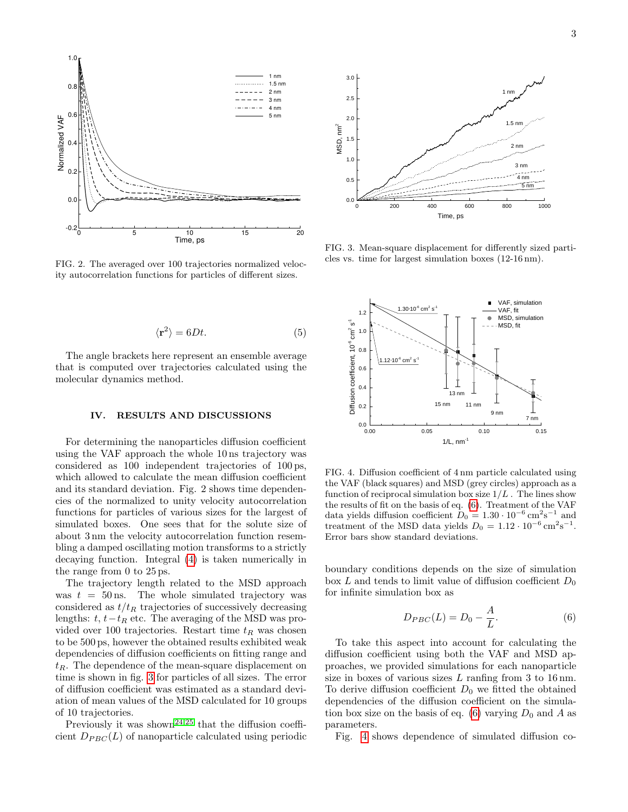

FIG. 2. The averaged over 100 trajectories normalized velocity autocorrelation functions for particles of different sizes.

$$
\langle \mathbf{r}^2 \rangle = 6Dt. \tag{5}
$$

The angle brackets here represent an ensemble average that is computed over trajectories calculated using the molecular dynamics method.

## IV. RESULTS AND DISCUSSIONS

For determining the nanoparticles diffusion coefficient using the VAF approach the whole 10 ns trajectory was considered as 100 independent trajectories of 100 ps, which allowed to calculate the mean diffusion coefficient and its standard deviation. Fig. 2 shows time dependencies of the normalized to unity velocity autocorrelation functions for particles of various sizes for the largest of simulated boxes. One sees that for the solute size of about 3 nm the velocity autocorrelation function resembling a damped oscillating motion transforms to a strictly decaying function. Integral [\(4\)](#page-1-1) is taken numerically in the range from 0 to 25 ps.

The trajectory length related to the MSD approach was  $t = 50$  ns. The whole simulated trajectory was considered as  $t/t_R$  trajectories of successively decreasing lengths:  $t, t-t_R$  etc. The averaging of the MSD was provided over 100 trajectories. Restart time  $t_R$  was chosen to be 500 ps, however the obtained results exhibited weak dependencies of diffusion coefficients on fitting range and  $t_R$ . The dependence of the mean-square displacement on time is shown in fig. [3](#page-2-0) for particles of all sizes. The error of diffusion coefficient was estimated as a standard deviation of mean values of the MSD calculated for 10 groups of 10 trajectories.

Previously it was shown<sup>[24,](#page-4-19)[25](#page-4-20)</sup> that the diffusion coeffi-



<span id="page-2-0"></span>FIG. 3. Mean-square displacement for differently sized particles vs. time for largest simulation boxes (12-16 nm).



<span id="page-2-2"></span>FIG. 4. Diffusion coefficient of 4 nm particle calculated using the VAF (black squares) and MSD (grey circles) approach as a function of reciprocal simulation box size  $1/L$ . The lines show the results of fit on the basis of eq. [\(6\)](#page-2-1). Treatment of the VAF data yields diffusion coefficient  $D_0 = 1.30 \cdot 10^{-6} \text{ cm}^2 \text{s}^{-1}$  and treatment of the MSD data yields  $D_0 = 1.12 \cdot 10^{-6} \text{ cm}^2 \text{s}^{-1}$ . Error bars show standard deviations.

boundary conditions depends on the size of simulation box L and tends to limit value of diffusion coefficient  $D_0$ for infinite simulation box as

<span id="page-2-1"></span>
$$
D_{PBC}(L) = D_0 - \frac{A}{L}.\tag{6}
$$

To take this aspect into account for calculating the diffusion coefficient using both the VAF and MSD approaches, we provided simulations for each nanoparticle size in boxes of various sizes  $L$  ranfing from 3 to 16 nm. To derive diffusion coefficient  $D_0$  we fitted the obtained dependencies of the diffusion coefficient on the simula-tion box size on the basis of eq. [\(6\)](#page-2-1) varying  $D_0$  and A as parameters.

Fig. [4](#page-2-2) shows dependence of simulated diffusion co-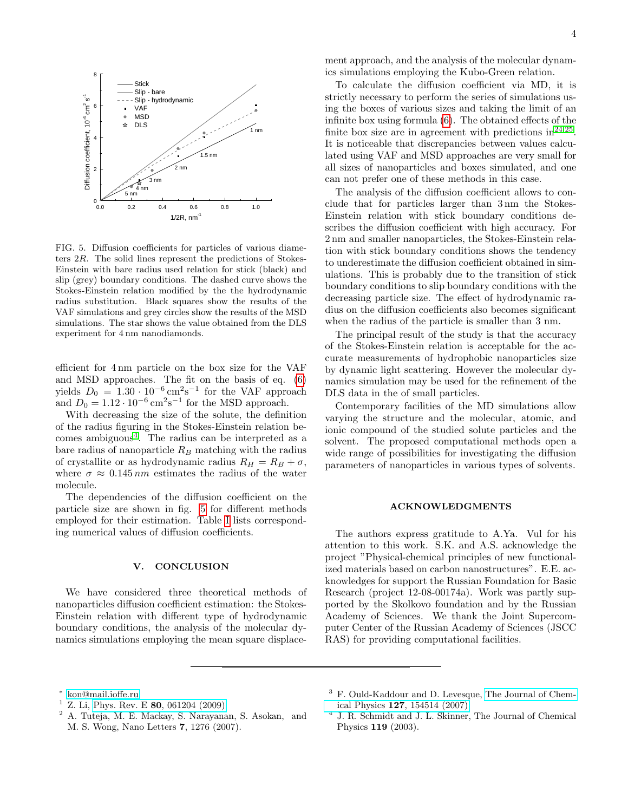

<span id="page-3-4"></span>FIG. 5. Diffusion coefficients for particles of various diameters 2R. The solid lines represent the predictions of Stokes-Einstein with bare radius used relation for stick (black) and slip (grey) boundary conditions. The dashed curve shows the Stokes-Einstein relation modified by the the hydrodynamic radius substitution. Black squares show the results of the VAF simulations and grey circles show the results of the MSD simulations. The star shows the value obtained from the DLS experiment for 4 nm nanodiamonds.

efficient for 4 nm particle on the box size for the VAF and MSD approaches. The fit on the basis of eq. [\(6\)](#page-2-1) yields  $D_0 = 1.30 \cdot 10^{-6} \text{ cm}^2 \text{s}^{-1}$  for the VAF approach and  $D_0 = 1.12 \cdot 10^{-6} \,\mathrm{cm}^2 \mathrm{s}^{-1}$  for the MSD approach.

With decreasing the size of the solute, the definition of the radius figuring in the Stokes-Einstein relation be $comes$  ambiguous<sup>[4](#page-3-2)</sup>. The radius can be interpreted as a bare radius of nanoparticle  $R_B$  matching with the radius of crystallite or as hydrodynamic radius  $R_H = R_B + \sigma$ , where  $\sigma \approx 0.145 \, nm$  estimates the radius of the water molecule.

The dependencies of the diffusion coefficient on the particle size are shown in fig. [5](#page-3-4) for different methods employed for their estimation. Table [I](#page-4-21) lists corresponding numerical values of diffusion coefficients.

# V. CONCLUSION

We have considered three theoretical methods of nanoparticles diffusion coefficient estimation: the Stokes-Einstein relation with different type of hydrodynamic boundary conditions, the analysis of the molecular dynamics simulations employing the mean square displacement approach, and the analysis of the molecular dynamics simulations employing the Kubo-Green relation.

To calculate the diffusion coefficient via MD, it is strictly necessary to perform the series of simulations using the boxes of various sizes and taking the limit of an infinite box using formula [\(6\)](#page-2-1). The obtained effects of the finite box size are in agreement with predictions  $in^{24,25}$  $in^{24,25}$  $in^{24,25}$  $in^{24,25}$ . It is noticeable that discrepancies between values calculated using VAF and MSD approaches are very small for all sizes of nanoparticles and boxes simulated, and one can not prefer one of these methods in this case.

The analysis of the diffusion coefficient allows to conclude that for particles larger than 3 nm the Stokes-Einstein relation with stick boundary conditions describes the diffusion coefficient with high accuracy. For 2 nm and smaller nanoparticles, the Stokes-Einstein relation with stick boundary conditions shows the tendency to underestimate the diffusion coefficient obtained in simulations. This is probably due to the transition of stick boundary conditions to slip boundary conditions with the decreasing particle size. The effect of hydrodynamic radius on the diffusion coefficients also becomes significant when the radius of the particle is smaller than 3 nm.

The principal result of the study is that the accuracy of the Stokes-Einstein relation is acceptable for the accurate measurements of hydrophobic nanoparticles size by dynamic light scattering. However the molecular dynamics simulation may be used for the refinement of the DLS data in the of small particles.

Contemporary facilities of the MD simulations allow varying the structure and the molecular, atomic, and ionic compound of the studied solute particles and the solvent. The proposed computational methods open a wide range of possibilities for investigating the diffusion parameters of nanoparticles in various types of solvents.

## ACKNOWLEDGMENTS

The authors express gratitude to A.Ya. Vul for his attention to this work. S.K. and A.S. acknowledge the project "Physical-chemical principles of new functionalized materials based on carbon nanostructures". E.E. acknowledges for support the Russian Foundation for Basic Research (project 12-08-00174a). Work was partly supported by the Skolkovo foundation and by the Russian Academy of Sciences. We thank the Joint Supercomputer Center of the Russian Academy of Sciences (JSCC RAS) for providing computational facilities.

<span id="page-3-1"></span>Z. Li, Phys. Rev. E 80[, 061204 \(2009\).](http://dx.doi.org/10.1103/PhysRevE.80.061204)

<span id="page-3-0"></span><sup>∗</sup> [kon@mail.ioffe.ru](mailto:kon@mail.ioffe.ru)

<sup>2</sup> A. Tuteja, M. E. Mackay, S. Narayanan, S. Asokan, and M. S. Wong, Nano Letters 7, 1276 (2007).

<span id="page-3-3"></span><sup>3</sup> F. Ould-Kaddour and D. Levesque, [The Journal of Chem](http://dx.doi.org/10.1063/1.2794753)ical Physics 127[, 154514 \(2007\).](http://dx.doi.org/10.1063/1.2794753)

<span id="page-3-2"></span><sup>4</sup> J. R. Schmidt and J. L. Skinner, The Journal of Chemical Physics 119 (2003).